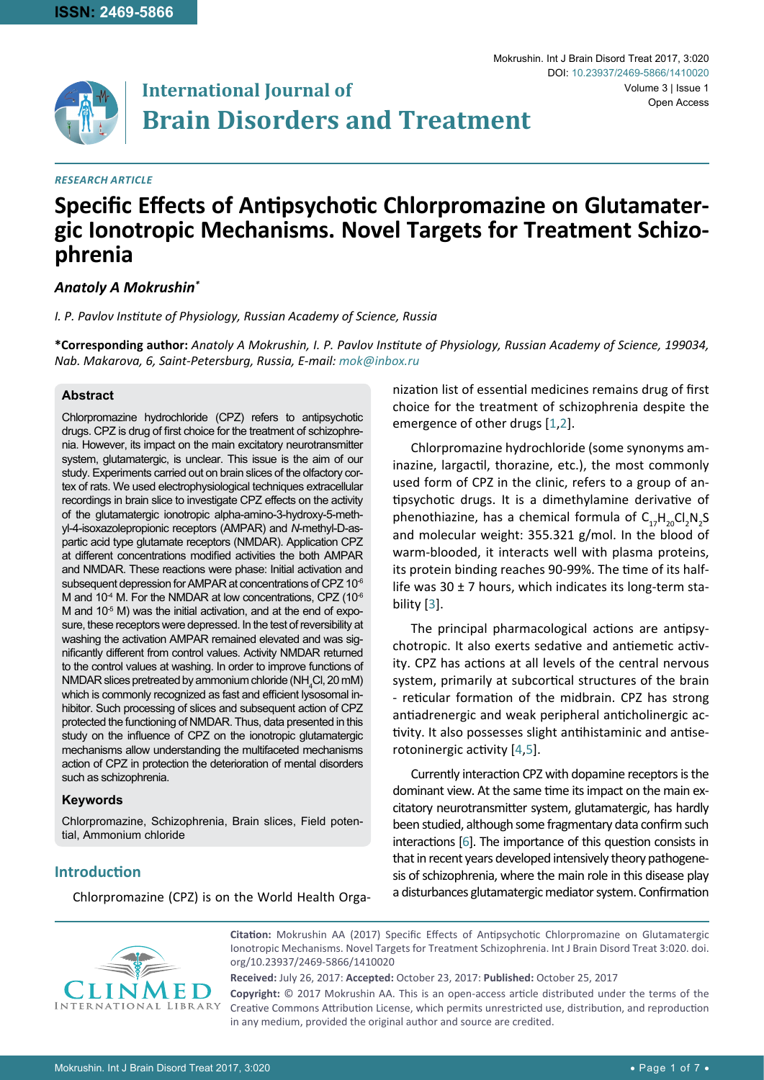

# **International Journal of Brain Disorders and Treatment**

# *Research Article*

#### Mokrushin. Int J Brain Disord Treat 2017, 3:020 Volume 3 | Issue 1 DOI: [10.23937/2469-5866/1410020](https://doi.org/10.23937/2469-5866/1410020) Open Access

# **Specific Effects of Antipsychotic Chlorpromazine on Glutamater- gic Ionotropic Mechanisms. Novel Targets for Treatment Schizo- phrenia**

# *Anatoly A Mokrushin\**

*I. P. Pavlov Institute of Physiology, Russian Academy of Science, Russia*

**\*Corresponding author:** *Anatoly A Mokrushin, I. P. Pavlov Institute of Physiology, Russian Academy of Science, 199034, Nab. Makarova, 6, Saint-Petersburg, Russia, E-mail: mok@inbox.ru*

# **Abstract**

Chlorpromazine hydrochloride (CPZ) refers to antipsychotic drugs. CPZ is drug of first choice for the treatment of schizophrenia. However, its impact on the main excitatory neurotransmitter system, glutamatergic, is unclear. This issue is the aim of our study. Experiments carried out on brain slices of the olfactory cortex of rats. We used electrophysiological techniques extracellular recordings in brain slice to investigate CPZ effects on the activity of the glutamatergic ionotropic alpha-amino-3-hydroxy-5-methyl-4-isoxazolepropionic receptors (AMPAR) and *N*-methyl-D-aspartic acid type glutamate receptors (NMDAR). Application CPZ at different concentrations modified activities the both AMPAR and NMDAR. These reactions were phase: Initial activation and subsequent depression for AMPAR at concentrations of CPZ 10<sup>-6</sup> M and 10<sup>-4</sup> M. For the NMDAR at low concentrations, CPZ (10 $^6$ ) M and  $10<sup>-5</sup>$  M) was the initial activation, and at the end of exposure, these receptors were depressed. In the test of reversibility at washing the activation AMPAR remained elevated and was significantly different from control values. Activity NMDAR returned to the control values at washing. In order to improve functions of  $NMDAR$  slices pretreated by ammonium chloride (NH<sub>4</sub>Cl, 20 mM) which is commonly recognized as fast and efficient lysosomal inhibitor. Such processing of slices and subsequent action of CPZ protected the functioning of NMDAR. Thus, data presented in this study on the influence of CPZ on the ionotropic glutamatergic mechanisms allow understanding the multifaceted mechanisms action of CPZ in protection the deterioration of mental disorders such as schizophrenia.

# **Keywords**

Chlorpromazine, Schizophrenia, Brain slices, Field potential, Ammonium chloride

**Introduction**

Chlorpromazine (CPZ) is on the World Health Orga-

nization list of essential medicines remains drug of first choice for the treatment of schizophrenia despite the emergence of other drugs [[1](#page-6-0),[2](#page-6-1)].

Chlorpromazine hydrochloride (some synonyms aminazine, largactil, thorazine, etc.), the most commonly used form of CPZ in the clinic, refers to a group of antipsychotic drugs. It is a dimethylamine derivative of phenothiazine, has a chemical formula of  $C_{17}H_{20}Cl_2N_2S$ and molecular weight: 355.321 g/mol. In the blood of warm-blooded, it interacts well with plasma proteins, its protein binding reaches 90-99%. The time of its halflife was  $30 \pm 7$  hours, which indicates its long-term stability [\[3\]](#page-6-2).

The principal pharmacological actions are antipsychotropic. It also exerts sedative and antiemetic activity. CPZ has actions at all levels of the central nervous system, primarily at subcortical structures of the brain - reticular formation of the midbrain. CPZ has strong antiadrenergic and weak peripheral anticholinergic activity. It also possesses slight antihistaminic and antiserotoninergic activity [[4](#page-6-3),[5](#page-6-4)].

Currently interaction CPZ with dopamine receptors is the dominant view. At the same time its impact on the main excitatory neurotransmitter system, glutamatergic, has hardly been studied, although some fragmentary data confirm such interactions [\[6\]](#page-6-5). The importance of this question consists in that in recent years developed intensively theory pathogenesis of schizophrenia, where the main role in this disease play a disturbances glutamatergic mediator system. Confirmation



**Citation:** Mokrushin AA (2017) Specific Effects of Antipsychotic Chlorpromazine on Glutamatergic Ionotropic Mechanisms. Novel Targets for Treatment Schizophrenia. Int J Brain Disord Treat 3:020. [doi.](https://doi.org/10.23937/2469-5866/1410020) [org/10.23937/2469-5866/1410020](https://doi.org/10.23937/2469-5866/1410020)

**Received:** July 26, 2017: **Accepted:** October 23, 2017: **Published:** October 25, 2017 **Copyright:** © 2017 Mokrushin AA. This is an open-access article distributed under the terms of the Creative Commons Attribution License, which permits unrestricted use, distribution, and reproduction in any medium, provided the original author and source are credited.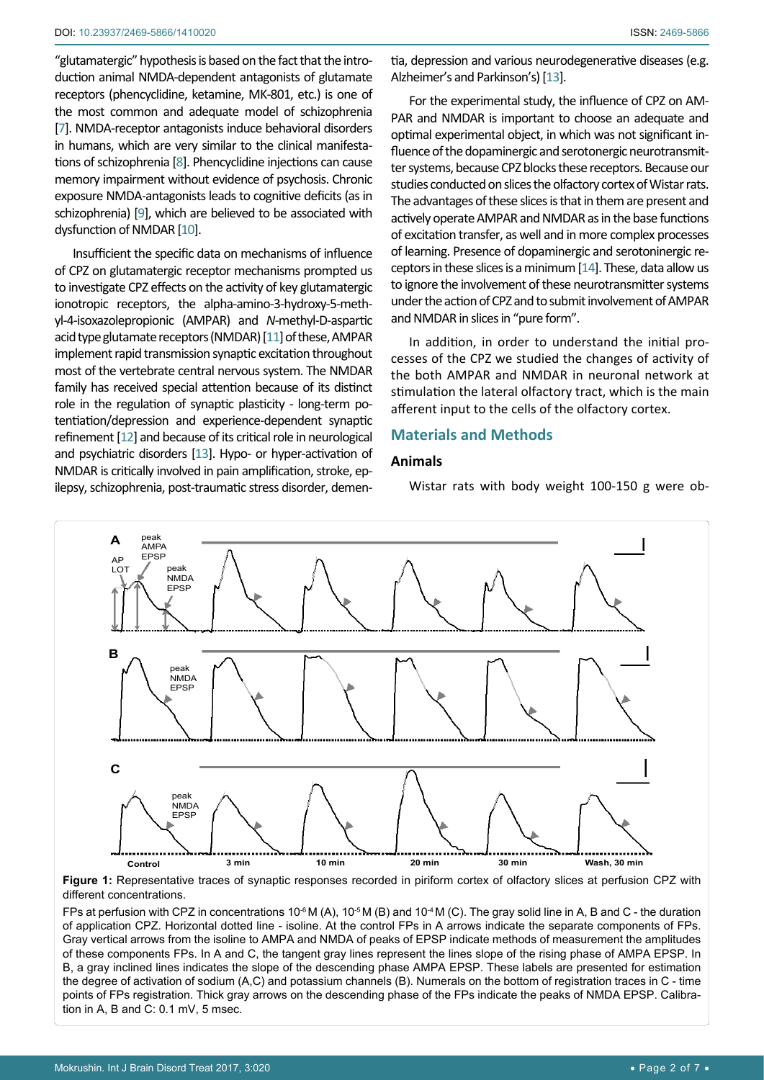"glutamatergic" hypothesis is based on the fact that the introduction animal NMDA-dependent antagonists of glutamate receptors (phencyclidine, ketamine, MK-801, etc.) is one of the most common and adequate model of schizophrenia [[7](#page-6-6)]. NMDA-receptor antagonists induce behavioral disorders in humans, which are very similar to the clinical manifestations of schizophrenia [\[8\]](#page-6-7). Phencyclidine injections can cause memory impairment without evidence of psychosis. Chronic exposure NMDA-antagonists leads to cognitive deficits (as in schizophrenia) [\[9\]](#page-6-8), which are believed to be associated with dysfunction of NMDAR [[10](#page-6-9)].

Insufficient the specific data on mechanisms of influence of CPZ on glutamatergic receptor mechanisms prompted us to investigate CPZ effects on the activity of key glutamatergic ionotropic receptors, the alpha-amino-3-hydroxy-5-methyl-4-isoxazolepropionic (AMPAR) and *N*-methyl-D-aspartic acid type glutamate receptors (NMDAR) [[11](#page-6-10)] of these, AMPAR implement rapid transmission synaptic excitation throughout most of the vertebrate central nervous system. The NMDAR family has received special attention because of its distinct role in the regulation of synaptic plasticity - long-term potentiation/depression and experience-dependent synaptic refinement [[12](#page-6-11)] and because of its critical role in neurological and psychiatric disorders [\[13](#page-6-12)]. Hypo- or hyper-activation of NMDAR is critically involved in pain amplification, stroke, epilepsy, schizophrenia, post-traumatic stress disorder, dementia, depression and various neurodegenerative diseases (e.g. Alzheimer's and Parkinson's) [\[13\]](#page-6-12).

For the experimental study, the influence of CPZ on AM-PAR and NMDAR is important to choose an adequate and optimal experimental object, in which was not significant influence of the dopaminergic and serotonergic neurotransmitter systems, because CPZ blocks these receptors. Because our studies conducted on slices the olfactory cortex of Wistar rats. The advantages of these slices is that in them are present and actively operate AMPAR and NMDAR as in the base functions of excitation transfer, as well and in more complex processes of learning. Presence of dopaminergic and serotoninergic receptors in these slices is a minimum [\[14\]](#page-6-13). These, data allow us to ignore the involvement of these neurotransmitter systems under the action of CPZ and to submit involvement of AMPAR and NMDAR in slices in "pure form".

In addition, in order to understand the initial processes of the CPZ we studied the changes of activity of the both AMPAR and NMDAR in neuronal network at stimulation the lateral olfactory tract, which is the main afferent input to the cells of the olfactory cortex.

# **Materials and Methods**

#### **Animals**

Wistar rats with body weight 100-150 g were ob-



**Figure 1:** Representative traces of synaptic responses recorded in piriform cortex of olfactory slices at perfusion CPZ with different concentrations.

FPs at perfusion with CPZ in concentrations  $10^{-6}$  M (A),  $10^{-5}$  M (B) and  $10^{-4}$  M (C). The gray solid line in A, B and C - the duration of application CPZ. Horizontal dotted line - isoline. At the control FPs in A arrows indicate the separate components of FPs. Gray vertical arrows from the isoline to AMPA and NMDA of peaks of EPSP indicate methods of measurement the amplitudes of these components FPs. In A and C, the tangent gray lines represent the lines slope of the rising phase of AMPA EPSP. In B, a gray inclined lines indicates the slope of the descending phase AMPA EPSP. These labels are presented for estimation the degree of activation of sodium (A,C) and potassium channels (B). Numerals on the bottom of registration traces in C - time points of FPs registration. Thick gray arrows on the descending phase of the FPs indicate the peaks of NMDA EPSP. Calibration in A, B and C: 0.1 mV, 5 msec.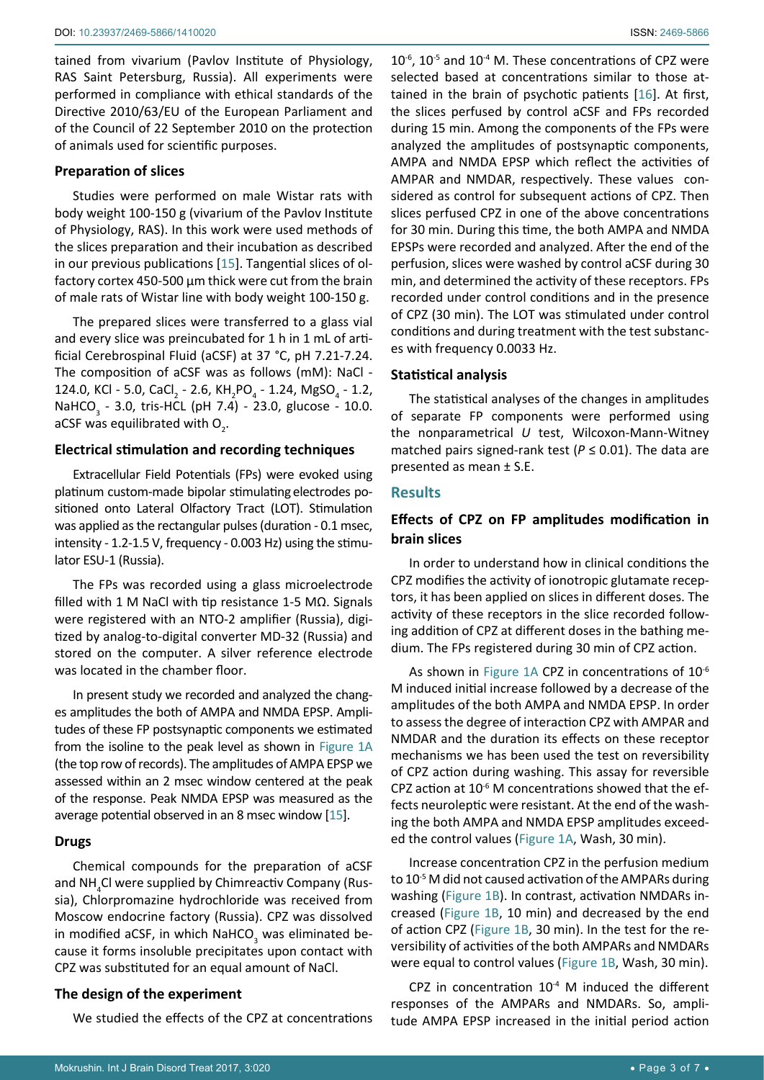tained from vivarium (Pavlov Institute of Physiology, RAS Saint Petersburg, Russia). All experiments were performed in compliance with ethical standards of the Directive 2010/63/EU of the European Parliament and of the Council of 22 September 2010 on the protection of animals used for scientific purposes.

#### **Preparation of slices**

Studies were performed on male Wistar rats with body weight 100-150 g (vivarium of the Pavlov Institute of Physiology, RAS). In this work were used methods of the slices preparation and their incubation as described in our previous publications [\[15](#page-6-15)]. Tangential slices of olfactory cortex 450-500 µm thick were cut from the brain of male rats of Wistar line with body weight 100-150 g.

The prepared slices were transferred to a glass vial and every slice was preincubated for 1 h in 1 mL of artificial Cerebrospinal Fluid (aCSF) at 37 °C, pH 7.21-7.24. The composition of aCSF was as follows (mM): NaCl - 124.0, KCl - 5.0, CaCl<sub>2</sub> - 2.6, KH<sub>2</sub>PO<sub>4</sub> - 1.24, MgSO<sub>4</sub> - 1.2, NaHCO<sub>3</sub> - 3.0, tris-HCL (pH 7.4) - 23.0, glucose - 10.0. aCSF was equilibrated with  $O_{\overline{2}}$ .

#### **Electrical stimulation and recording techniques**

Extracellular Field Potentials (FPs) were evoked using platinum custom-made bipolar stimulating electrodes positioned onto Lateral Olfactory Tract (LOT). Stimulation was applied as the rectangular pulses (duration - 0.1 msec, intensity - 1.2-1.5 V, frequency - 0.003 Hz) using the stimulator ESU-1 (Russia).

The FPs was recorded using a glass microelectrode filled with 1 M NaCl with tip resistance 1-5 MΩ. Signals were registered with an NTO-2 amplifier (Russia), digitized by analog-to-digital converter MD-32 (Russia) and stored on the computer. A silver reference electrode was located in the chamber floor.

In present study we recorded and analyzed the changes amplitudes the both of AMPA and NMDA EPSP. Amplitudes of these FP postsynaptic components we estimated from the isoline to the peak level as shown in Figure 1A (the top row of records). The amplitudes of AMPA EPSP we assessed within an 2 msec window centered at the peak of the response. Peak NMDA EPSP was measured as the average potential observed in an 8 msec window [[15](#page-6-15)].

#### **Drugs**

Chemical compounds for the preparation of aCSF and NH<sub>4</sub>Cl were supplied by Chimreactiv Company (Russia), Chlorpromazine hydrochloride was received from Moscow endocrine factory (Russia). CPZ was dissolved in modified aCSF, in which NaHCO<sub>3</sub> was eliminated because it forms insoluble precipitates upon contact with CPZ was substituted for an equal amount of NaCl.

#### **The design of the experiment**

We studied the effects of the CPZ at concentrations

 $10^{-6}$ ,  $10^{-5}$  and  $10^{-4}$  M. These concentrations of CPZ were selected based at concentrations similar to those attained in the brain of psychotic patients [\[16\]](#page-6-14). At first, the slices perfused by control aCSF and FPs recorded during 15 min. Among the components of the FPs were analyzed the amplitudes of postsynaptic components, AMPA and NMDA EPSP which reflect the activities of AMPAR and NMDAR, respectively. These values considered as control for subsequent actions of CPZ. Then slices perfused CPZ in one of the above concentrations for 30 min. During this time, the both AMPA and NMDA EPSPs were recorded and analyzed. After the end of the perfusion, slices were washed by control aCSF during 30 min, and determined the activity of these receptors. FPs recorded under control conditions and in the presence of CPZ (30 min). The LOT was stimulated under control conditions and during treatment with the test substances with frequency 0.0033 Hz.

#### **Statistical analysis**

The statistical analyses of the changes in amplitudes of separate FP components were performed using the nonparametrical *U* test, Wilcoxon-Mann-Witney matched pairs signed-rank test ( $P \le 0.01$ ). The data are presented as mean ± S.E.

#### **Results**

# **Effects of CPZ on FP amplitudes modification in brain slices**

In order to understand how in clinical conditions the CPZ modifies the activity of ionotropic glutamate receptors, it has been applied on slices in different doses. The activity of these receptors in the slice recorded following addition of CPZ at different doses in the bathing medium. The FPs registered during 30 min of CPZ action.

As shown in Figure 1A CPZ in concentrations of  $10^{-6}$ M induced initial increase followed by a decrease of the amplitudes of the both AMPA and NMDA EPSP. In order to assess the degree of interaction CPZ with AMPAR and NMDAR and the duration its effects on these receptor mechanisms we has been used the test on reversibility of CPZ action during washing. This assay for reversible CPZ action at  $10^{-6}$  M concentrations showed that the effects neuroleptic were resistant. At the end of the washing the both AMPA and NMDA EPSP amplitudes exceeded the control values (Figure 1A, Wash, 30 min).

Increase concentration CPZ in the perfusion medium to 10<sup>-5</sup> M did not caused activation of the AMPARs during washing (Figure 1B). In contrast, activation NMDARs increased (Figure 1B, 10 min) and decreased by the end of action CPZ (Figure 1B, 30 min). In the test for the reversibility of activities of the both AMPARs and NMDARs were equal to control values (Figure 1B, Wash, 30 min).

CPZ in concentration  $10^{-4}$  M induced the different responses of the AMPARs and NMDARs. So, amplitude AMPA EPSP increased in the initial period action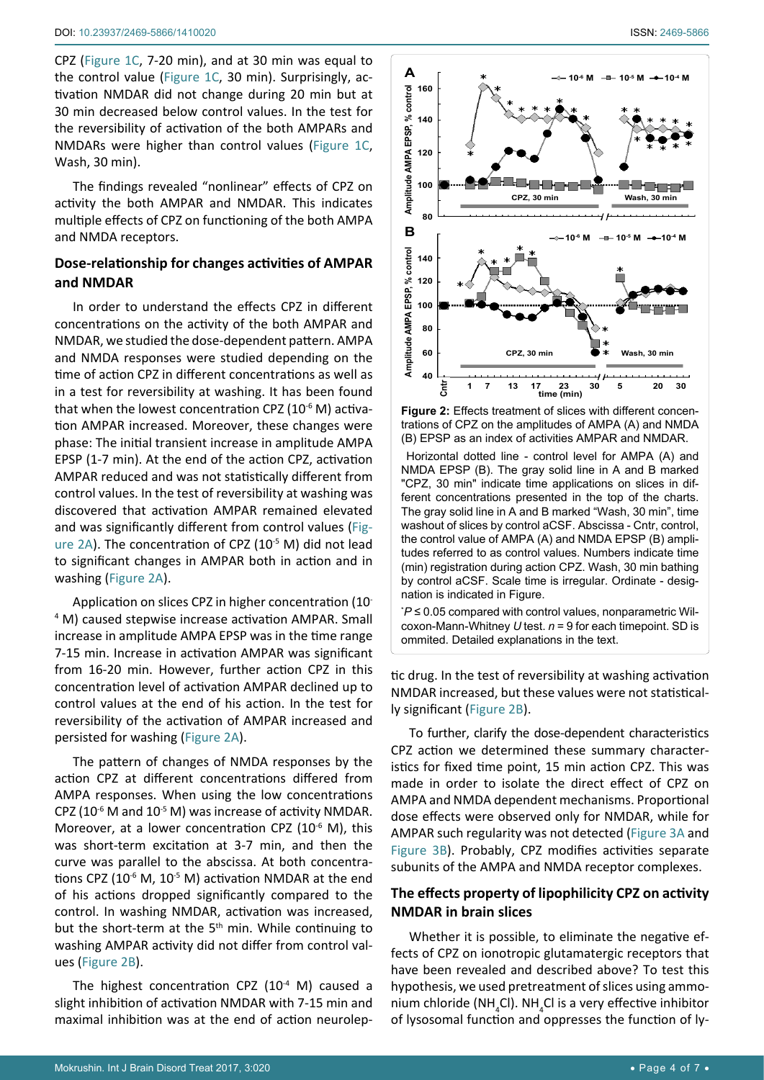CPZ (Figure 1C, 7-20 min), and at 30 min was equal to the control value (Figure 1С, 30 min). Surprisingly, activation NMDAR did not change during 20 min but at 30 min decreased below control values. In the test for the reversibility of activation of the both AMPARs and NMDARs were higher than control values (Figure 1С, Wash, 30 min).

The findings revealed "nonlinear" effects of CPZ on activity the both AMPAR and NMDAR. This indicates multiple effects of CPZ on functioning of the both AMPA and NMDA receptors.

# **Dose-relationship for changes activities of AMPAR and NMDAR**

In order to understand the effects CPZ in different concentrations on the activity of the both AMPAR and NMDAR, we studied the dose-dependent pattern. AMPA and NMDA responses were studied depending on the time of action CPZ in different concentrations as well as in a test for reversibility at washing. It has been found that when the lowest concentration CPZ  $(10^{-6}$  M) activation AMPAR increased. Moreover, these changes were phase: The initial transient increase in amplitude AMPA EPSP (1-7 min). At the end of the action CPZ, activation AMPAR reduced and was not statistically different from control values. In the test of reversibility at washing was discovered that activation AMPAR remained elevated and was significantly different from control values (Figure 2A). The concentration of CPZ (10<sup>-5</sup> M) did not lead to significant changes in AMPAR both in action and in washing (Figure 2A).

Application on slices CPZ in higher concentration (10- 4 M) caused stepwise increase activation AMPAR. Small increase in amplitude AMPA EPSP was in the time range 7-15 min. Increase in activation AMPAR was significant from 16-20 min. However, further action CPZ in this concentration level of activation AMPAR declined up to control values at the end of his action. In the test for reversibility of the activation of AMPAR increased and persisted for washing (Figure 2A).

The pattern of changes of NMDA responses by the action CPZ at different concentrations differed from AMPA responses. When using the low concentrations CPZ (10<sup>-6</sup> M and 10<sup>-5</sup> M) was increase of activity NMDAR. Moreover, at a lower concentration CPZ  $(10^{-6}$  M), this was short-term excitation at 3-7 min, and then the curve was parallel to the abscissa. At both concentrations CPZ ( $10^{-6}$  M,  $10^{-5}$  M) activation NMDAR at the end of his actions dropped significantly compared to the control. In washing NMDAR, activation was increased, but the short-term at the  $5<sup>th</sup>$  min. While continuing to washing AMPAR activity did not differ from control values (Figure 2B).

The highest concentration CPZ  $(10^{-4}$  M) caused a slight inhibition of activation NMDAR with 7-15 min and maximal inhibition was at the end of action neurolep-



Figure 2: Effects treatment of slices with different concentrations of CPZ on the amplitudes of AMPA (A) and NMDA (B) EPSP as an index of activities AMPAR and NMDAR.

 Horizontal dotted line - control level for AMPA (A) and NMDA EPSP (B). The gray solid line in A and B marked "CPZ, 30 min" indicate time applications on slices in different concentrations presented in the top of the charts. The gray solid line in A and B marked "Wash, 30 min", time washout of slices by control aCSF. Abscissa - Cntr, control, the control value of AMPA (A) and NMDA EPSP (B) amplitudes referred to as control values. Numbers indicate time (min) registration during action CPZ. Wash, 30 min bathing by control aCSF. Scale time is irregular. Ordinate - designation is indicated in Figure.

\* *P* ≤ 0.05 compared with control values, nonparametric Wilcoxon-Mann-Whitney *U* test. *n* = 9 for each timepoint. SD is ommited. Detailed explanations in the text.

tic drug. In the test of reversibility at washing activation NMDAR increased, but these values were not statistically significant (Figure 2B).

To further, clarify the dose-dependent characteristics CPZ action we determined these summary characteristics for fixed time point, 15 min action CPZ. This was made in order to isolate the direct effect of CPZ on AMPA and NMDA dependent mechanisms. Proportional dose effects were observed only for NMDAR, while for AMPAR such regularity was not detected (Figure 3A and Figure 3B). Probably, CPZ modifies activities separate subunits of the AMPA and NMDA receptor complexes.

# **The effects property of lipophilicity CPZ on activity NMDAR in brain slices**

Whether it is possible, to eliminate the negative effects of CPZ on ionotropic glutamatergic receptors that have been revealed and described above? To test this hypothesis, we used pretreatment of slices using ammonium chloride (NH<sub>4</sub>Cl). NH<sub>4</sub>Cl is a very effective inhibitor of lysosomal function and oppresses the function of ly-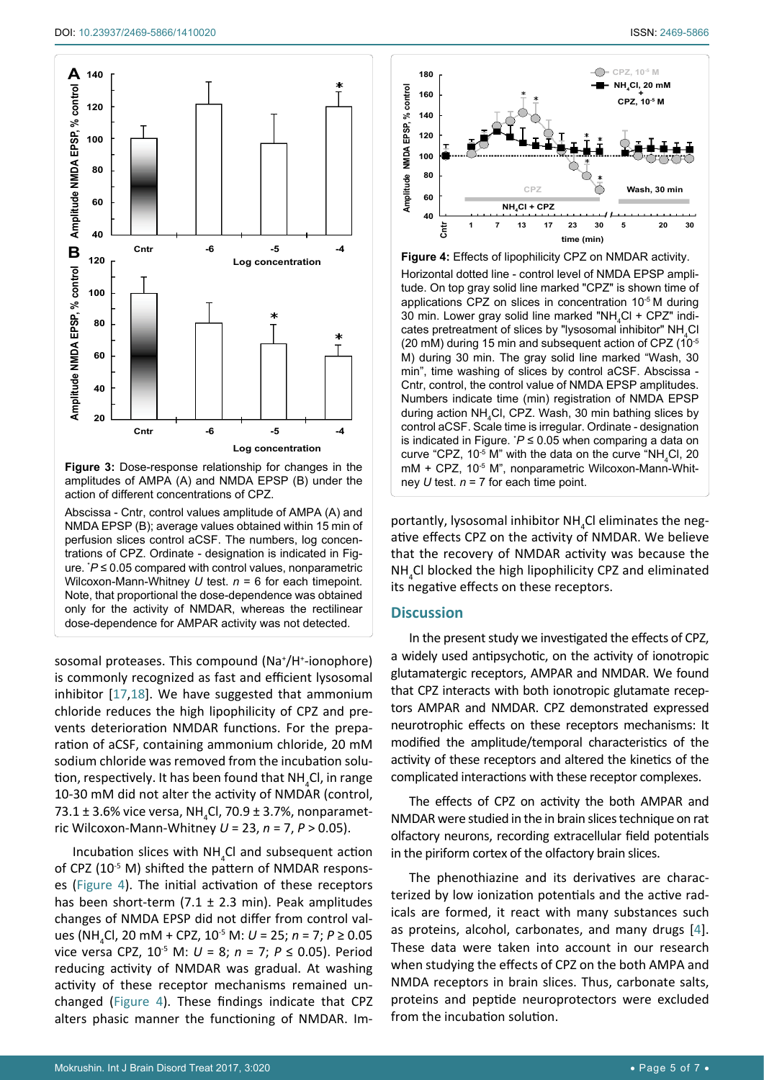

**Figure 3:** Dose-response relationship for changes in the amplitudes of AMPA (A) and NMDA EPSP (B) under the action of different concentrations of CPZ.

Abscissa - Cntr, control values amplitude of AMPA (A) and NMDA EPSP (B); average values obtained within 15 min of perfusion slices control aCSF. The numbers, log concentrations of CPZ. Ordinate - designation is indicated in Figure. \* *P* ≤ 0.05 compared with control values, nonparametric Wilcoxon-Mann-Whitney *U* test. *n* = 6 for each timepoint. Note, that proportional the dose-dependence was obtained only for the activity of NMDAR, whereas the rectilinear dose-dependence for AMPAR activity was not detected.

sosomal proteases. This compound (Na<sup>+</sup>/H<sup>+</sup>-ionophore) is commonly recognized as fast and efficient lysosomal inhibitor [[17](#page-6-16),[18](#page-6-17)]. We have suggested that ammonium chloride reduces the high lipophilicity of CPZ and prevents deterioration NMDAR functions. For the preparation of aCSF, containing ammonium chloride, 20 mM sodium chloride was removed from the incubation solution, respectively. It has been found that NH<sub>4</sub>Cl, in range 10-30 mM did not alter the activity of NMDAR (control, 73.1  $\pm$  3.6% vice versa, NH<sub>4</sub>Cl, 70.9  $\pm$  3.7%, nonparametric Wilcoxon-Mann-Whitney *U* = 23, *n* = 7, *P* > 0.05).

Incubation slices with  $NH_{4}Cl$  and subsequent action of CPZ (10<sup>-5</sup> M) shifted the pattern of NMDAR responses (Figure 4). The initial activation of these receptors has been short-term  $(7.1 \pm 2.3 \text{ min})$ . Peak amplitudes changes of NMDA EPSP did not differ from control values (NH4 Cl, 20 mM + CPZ, 10-5 M: *U* = 25; *n* = 7; *P* ≥ 0.05 vice versa CPZ, 10-5 M: *U* = 8; *n* = 7; *P* ≤ 0.05). Period reducing activity of NMDAR was gradual. At washing activity of these receptor mechanisms remained unchanged (Figure 4). These findings indicate that CPZ alters phasic manner the functioning of NMDAR. Im-



**Figure 4:** Effects of lipophilicity CPZ on NMDAR activity.

Horizontal dotted line - control level of NMDA EPSP amplitude. On top gray solid line marked "CPZ" is shown time of applications CPZ on slices in concentration 10-5 M during 30 min. Lower gray solid line marked "NH<sub>4</sub>Cl + CPZ" indicates pretreatment of slices by "lysosomal inhibitor"  $NH_{4}Cl$ (20 mM) during 15 min and subsequent action of CPZ (10-5 M) during 30 min. The gray solid line marked "Wash, 30 min", time washing of slices by control aCSF. Abscissa - Cntr, control, the control value of NMDA EPSP amplitudes. Numbers indicate time (min) registration of NMDA EPSP during action NH<sub>4</sub>Cl, CPZ. Wash, 30 min bathing slices by control aCSF. Scale time is irregular. Ordinate - designation is indicated in Figure. \* *P* ≤ 0.05 when comparing a data on curve "CPZ, 10<sup>-5</sup> M" with the data on the curve "NH<sub>4</sub>Cl, 20 mM + CPZ, 10<sup>-5</sup> M", nonparametric Wilcoxon-Mann-Whitney *U* test. *n* = 7 for each time point.

portantly, lysosomal inhibitor NH<sub>4</sub>Cl eliminates the negative effects CPZ on the activity of NMDAR. We believe that the recovery of NMDAR activity was because the NH4 Cl blocked the high lipophilicity CPZ and eliminated its negative effects on these receptors.

# **Discussion**

In the present study we investigated the effects of CPZ, a widely used antipsychotic, on the activity of ionotropic glutamatergic receptors, AMPAR and NMDAR. We found that CPZ interacts with both ionotropic glutamate receptors AMPAR and NMDAR. CPZ demonstrated expressed neurotrophic effects on these receptors mechanisms: It modified the amplitude/temporal characteristics of the activity of these receptors and altered the kinetics of the complicated interactions with these receptor complexes.

The effects of CPZ on activity the both AMPAR and NMDAR were studied in the in brain slices technique on rat olfactory neurons, recording extracellular field potentials in the piriform cortex of the olfactory brain slices.

The phenothiazine and its derivatives are characterized by low ionization potentials and the active radicals are formed, it react with many substances such as proteins, alcohol, carbonates, and many drugs [\[4\]](#page-6-3). These data were taken into account in our research when studying the effects of CPZ on the both AMPA and NMDA receptors in brain slices. Thus, carbonate salts, proteins and peptide neuroprotectors were excluded from the incubation solution.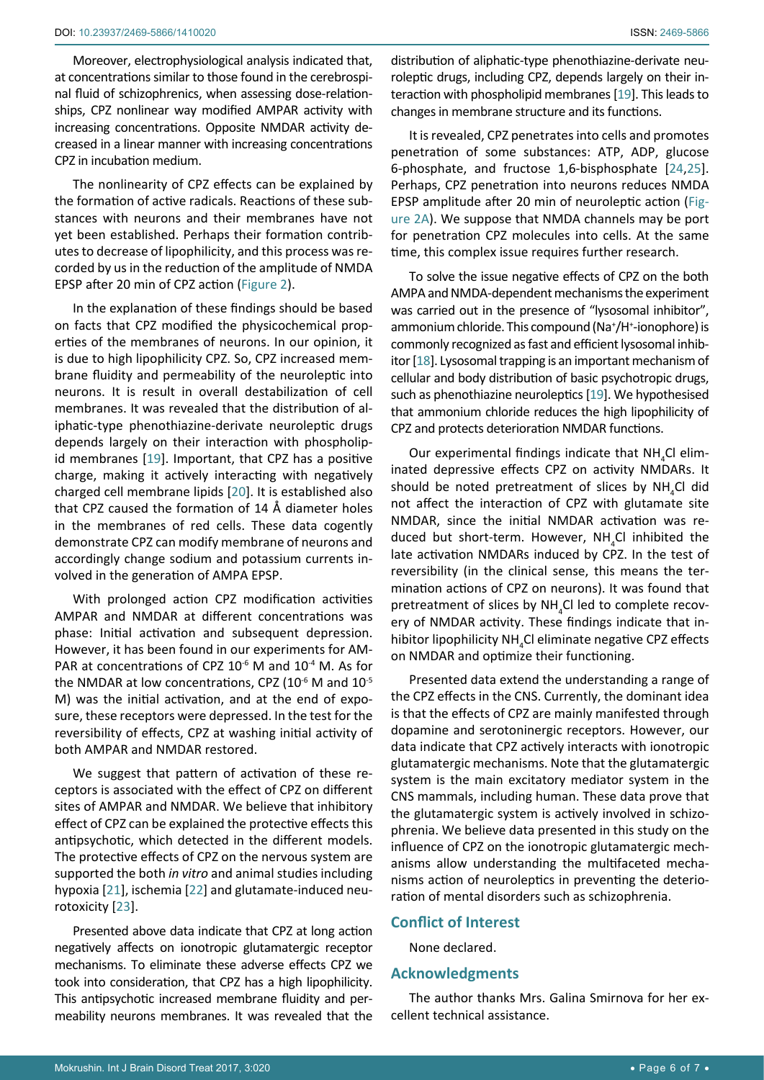Moreover, electrophysiological analysis indicated that, at concentrations similar to those found in the cerebrospinal fluid of schizophrenics, when assessing dose-relationships, CPZ nonlinear way modified AMPAR activity with increasing concentrations. Opposite NMDAR activity decreased in a linear manner with increasing concentrations CPZ in incubation medium.

The nonlinearity of CPZ effects can be explained by the formation of active radicals. Reactions of these substances with neurons and their membranes have not yet been established. Perhaps their formation contributes to decrease of lipophilicity, and this process was recorded by us in the reduction of the amplitude of NMDA EPSP after 20 min of CPZ action (Figure 2).

In the explanation of these findings should be based on facts that CPZ modified the physicochemical properties of the membranes of neurons. In our opinion, it is due to high lipophilicity CPZ. So, CPZ increased membrane fluidity and permeability of the neuroleptic into neurons. It is result in overall destabilization of cell membranes. It was revealed that the distribution of aliphatic-type phenothiazine-derivate neuroleptic drugs depends largely on their interaction with phospholipid membranes [\[19\]](#page-6-18). Important, that CPZ has a positive charge, making it actively interacting with negatively charged cell membrane lipids [[20](#page-6-21)]. It is established also that CPZ caused the formation of 14 Å diameter holes in the membranes of red cells. These data cogently demonstrate CPZ can modify membrane of neurons and accordingly change sodium and potassium currents involved in the generation of AMPA EPSP.

With prolonged action CPZ modification activities AMPAR and NMDAR at different concentrations was phase: Initial activation and subsequent depression. However, it has been found in our experiments for AM-PAR at concentrations of CPZ  $10^{-6}$  M and  $10^{-4}$  M. As for the NMDAR at low concentrations, CPZ (10<sup>-6</sup> M and 10<sup>-5</sup> M) was the initial activation, and at the end of exposure, these receptors were depressed. In the test for the reversibility of effects, CPZ at washing initial activity of both AMPAR and NMDAR restored.

We suggest that pattern of activation of these receptors is associated with the effect of CPZ on different sites of AMPAR and NMDAR. We believe that inhibitory effect of CPZ can be explained the protective effects this antipsychotic, which detected in the different models. The protective effects of CPZ on the nervous system are supported the both *in vitro* and animal studies including hypoxia [[21](#page-6-22)], ischemia [[22](#page-6-23)] and glutamate-induced neurotoxicity [[23\]](#page-6-24).

Presented above data indicate that CPZ at long action negatively affects on ionotropic glutamatergic receptor mechanisms. To eliminate these adverse effects CPZ we took into consideration, that CPZ has a high lipophilicity. This antipsychotic increased membrane fluidity and permeability neurons membranes. It was revealed that the

distribution of aliphatic-type phenothiazine-derivate neuroleptic drugs, including CPZ, depends largely on their interaction with phospholipid membranes [\[19\]](#page-6-18). This leads to changes in membrane structure and its functions.

It is revealed, CPZ penetrates into cells and promotes penetration of some substances: ATP, ADP, glucose 6-phosphate, and fructose 1,6-bisphosphate [[24](#page-6-19)[,25\]](#page-6-20). Perhaps, CPZ penetration into neurons reduces NMDA EPSP amplitude after 20 min of neuroleptic action (Figure 2A). We suppose that NMDA channels may be port for penetration CPZ molecules into cells. At the same time, this complex issue requires further research.

To solve the issue negative effects of CPZ on the both AMPA and NMDA-dependent mechanisms the experiment was carried out in the presence of "lysosomal inhibitor", ammonium chloride. This compound (Na<sup>+</sup>/H<sup>+</sup>-ionophore) is commonly recognized as fast and efficient lysosomal inhibitor [[18](#page-6-17)]. Lysosomal trapping is an important mechanism of cellular and body distribution of basic psychotropic drugs, such as phenothiazine neuroleptics [[19\]](#page-6-18). We hypothesised that ammonium chloride reduces the high lipophilicity of CPZ and protects deterioration NMDAR functions.

Our experimental findings indicate that  $NH_{4}Cl$  eliminated depressive effects CPZ on activity NMDARs. It should be noted pretreatment of slices by  $NH_4Cl$  did not affect the interaction of CPZ with glutamate site NMDAR, since the initial NMDAR activation was reduced but short-term. However,  $NH_{4}Cl$  inhibited the late activation NMDARs induced by CPZ. In the test of reversibility (in the clinical sense, this means the termination actions of CPZ on neurons). It was found that pretreatment of slices by  $NH_{4}$ Cl led to complete recovery of NMDAR activity. These findings indicate that inhibitor lipophilicity  $NH<sub>4</sub>Cl$  eliminate negative CPZ effects on NMDAR and optimize their functioning.

Presented data extend the understanding a range of the CPZ effects in the CNS. Currently, the dominant idea is that the effects of CPZ are mainly manifested through dopamine and serotoninergic receptors. However, our data indicate that CPZ actively interacts with ionotropic glutamatergic mechanisms. Note that the glutamatergic system is the main excitatory mediator system in the CNS mammals, including human. These data prove that the glutamatergic system is actively involved in schizophrenia. We believe data presented in this study on the influence of CPZ on the ionotropic glutamatergic mechanisms allow understanding the multifaceted mechanisms action of neuroleptics in preventing the deterioration of mental disorders such as schizophrenia.

#### **Conflict of Interest**

None declared.

# **Acknowledgments**

The author thanks Mrs. Galina Smirnova for her excellent technical assistance.